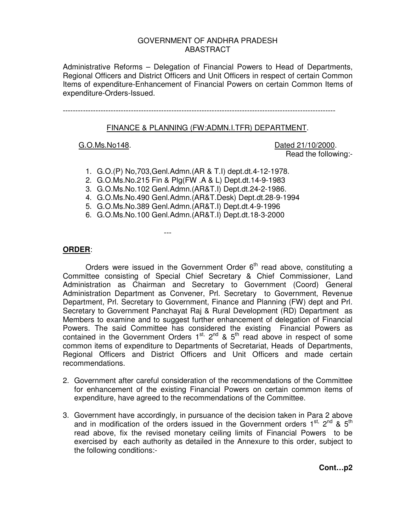# GOVERNMENT OF ANDHRA PRADESH ABASTRACT

Administrative Reforms – Delegation of Financial Powers to Head of Departments, Regional Officers and District Officers and Unit Officers in respect of certain Common Items of expenditure-Enhancement of Financial Powers on certain Common Items of expenditure-Orders-Issued.

------------------------------------------------------------------------------------------------------------

### FINANCE & PLANNING (FW:ADMN.I.TFR) DEPARTMENT.

G.O.Ms.No148. Dated 21/10/2000. Read the following:-

- 1. G.O.(P) No,703,Genl.Admn.(AR & T.I) dept.dt.4-12-1978.
- 2. G.O.Ms.No.215 Fin & Plg(FW .A & L) Dept.dt.14-9-1983
- 3. G.O.Ms.No.102 Genl.Admn.(AR&T.I) Dept.dt.24-2-1986.
- 4. G.O.Ms.No.490 Genl.Admn.(AR&T.Desk) Dept.dt.28-9-1994
- 5. G.O.Ms.No.389 Genl.Admn.(AR&T.I) Dept.dt.4-9-1996
- 6. G.O.Ms.No.100 Genl.Admn.(AR&T.I) Dept.dt.18-3-2000

---

## **ORDER**:

Orders were issued in the Government Order  $6<sup>th</sup>$  read above, constituting a Committee consisting of Special Chief Secretary & Chief Commissioner, Land Administration as Chairman and Secretary to Government (Coord) General Administration Department as Convener, Prl. Secretary to Government, Revenue Department, Prl. Secretary to Government, Finance and Planning (FW) dept and Prl. Secretary to Government Panchayat Raj & Rural Development (RD) Department as Members to examine and to suggest further enhancement of delegation of Financial Powers. The said Committee has considered the existing Financial Powers as contained in the Government Orders  $1^{st}$ ,  $2^{nd}$  &  $5^{th}$  read above in respect of some common items of expenditure to Departments of Secretariat, Heads of Departments, Regional Officers and District Officers and Unit Officers and made certain recommendations.

- 2. Government after careful consideration of the recommendations of the Committee for enhancement of the existing Financial Powers on certain common items of expenditure, have agreed to the recommendations of the Committee.
- 3. Government have accordingly, in pursuance of the decision taken in Para 2 above and in modification of the orders issued in the Government orders  $1^{st}$ ,  $2^{nd}$  &  $5^{th}$ read above, fix the revised monetary ceiling limits of Financial Powers to be exercised by each authority as detailed in the Annexure to this order, subject to the following conditions:-

**Cont…p2**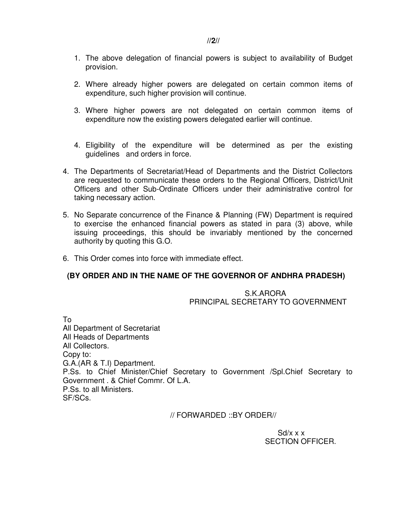- 1. The above delegation of financial powers is subject to availability of Budget provision.
- 2. Where already higher powers are delegated on certain common items of expenditure, such higher provision will continue.
- 3. Where higher powers are not delegated on certain common items of expenditure now the existing powers delegated earlier will continue.
- 4. Eligibility of the expenditure will be determined as per the existing guidelines and orders in force.
- 4. The Departments of Secretariat/Head of Departments and the District Collectors are requested to communicate these orders to the Regional Officers, District/Unit Officers and other Sub-Ordinate Officers under their administrative control for taking necessary action.
- 5. No Separate concurrence of the Finance & Planning (FW) Department is required to exercise the enhanced financial powers as stated in para (3) above, while issuing proceedings, this should be invariably mentioned by the concerned authority by quoting this G.O.
- 6. This Order comes into force with immediate effect.

# **(BY ORDER AND IN THE NAME OF THE GOVERNOR OF ANDHRA PRADESH)**

S.K.ARORA PRINCIPAL SECRETARY TO GOVERNMENT

To All Department of Secretariat All Heads of Departments All Collectors. Copy to: G.A.(AR & T.I) Department. P.Ss. to Chief Minister/Chief Secretary to Government /Spl.Chief Secretary to Government . & Chief Commr. Of L.A. P.Ss. to all Ministers. SF/SCs.

// FORWARDED ::BY ORDER//

 $Sd/x \times x$ SECTION OFFICER.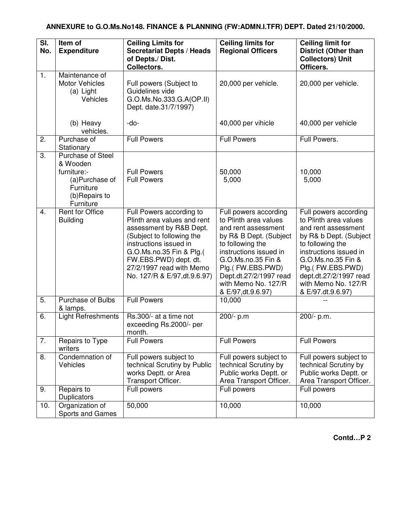| SI.<br>No.       | Item of<br><b>Expenditure</b>                                                                             | <b>Ceiling Limits for</b><br><b>Secretariat Depts / Heads</b><br>of Depts./ Dist.<br>Collectors.                                                                                                                                                            | <b>Ceiling limits for</b><br><b>Regional Officers</b>                                                                                                                                                                                                           | <b>Ceiling limit for</b><br><b>District (Other than</b><br><b>Collectors) Unit</b><br>Officers.                                                                                                                                                               |
|------------------|-----------------------------------------------------------------------------------------------------------|-------------------------------------------------------------------------------------------------------------------------------------------------------------------------------------------------------------------------------------------------------------|-----------------------------------------------------------------------------------------------------------------------------------------------------------------------------------------------------------------------------------------------------------------|---------------------------------------------------------------------------------------------------------------------------------------------------------------------------------------------------------------------------------------------------------------|
| 1.               | Maintenance of<br><b>Motor Vehicles</b><br>(a) Light<br><b>Vehicles</b>                                   | Full powers (Subject to<br>Guidelines vide<br>G.O.Ms.No.333.G.A(OP.II)<br>Dept. date.31/7/1997)                                                                                                                                                             | 20,000 per vehicle.                                                                                                                                                                                                                                             | 20,000 per vehicle.                                                                                                                                                                                                                                           |
|                  | (b) Heavy<br>vehicles.                                                                                    | -do-                                                                                                                                                                                                                                                        | 40,000 per vihicle                                                                                                                                                                                                                                              | 40,000 per vehicle                                                                                                                                                                                                                                            |
| 2.               | Purchase of<br>Stationary                                                                                 | <b>Full Powers</b>                                                                                                                                                                                                                                          | <b>Full Powers</b>                                                                                                                                                                                                                                              | Full Powers.                                                                                                                                                                                                                                                  |
| 3.               | Purchase of Steel<br>& Wooden<br>furniture:-<br>(a)Purchase of<br>Furniture<br>(b)Repairs to<br>Furniture | <b>Full Powers</b><br><b>Full Powers</b>                                                                                                                                                                                                                    | 50,000<br>5,000                                                                                                                                                                                                                                                 | 10,000<br>5,000                                                                                                                                                                                                                                               |
| $\overline{4}$ . | <b>Rent for Office</b><br><b>Building</b>                                                                 | Full Powers according to<br>Plinth area values and rent<br>assessment by R&B Dept.<br>(Subject to following the<br>instructions issued in<br>G.O.Ms.no.35 Fin & Plg.(<br>FW.EBS.PWD) dept. dt.<br>27/2/1997 read with Memo<br>No. 127/R & E/97, dt. 9.6.97) | Full powers according<br>to Plinth area values<br>and rent assessment<br>by R& B Dept. (Subject<br>to following the<br>instructions issued in<br>G.O.Ms.no.35 Fin &<br>Plg.(FW.EBS.PWD)<br>Dept.dt.27/2/1997 read<br>with Memo No. 127/R<br>& E/97, dt. 9.6.97) | Full powers according<br>to Plinth area values<br>and rent assessment<br>by R& b Dept. (Subject<br>to following the<br>instructions issued in<br>G.O.Ms.no.35 Fin &<br>Plg.(FW.EBS.PWD)<br>dept.dt.27/2/1997 read<br>with Memo No. 127/R<br>& E/97.dt.9.6.97) |
| 5.               | Purchase of Bulbs<br>& lamps.                                                                             | <b>Full Powers</b>                                                                                                                                                                                                                                          | 10,000                                                                                                                                                                                                                                                          |                                                                                                                                                                                                                                                               |
| 6.               | <b>Light Refreshments</b>                                                                                 | Rs.300/- at a time not<br>exceeding Rs.2000/- per<br>month.                                                                                                                                                                                                 | 200/- p.m                                                                                                                                                                                                                                                       | 200/- p.m.                                                                                                                                                                                                                                                    |
| 7.               | Repairs to Type<br>writers                                                                                | <b>Full Powers</b>                                                                                                                                                                                                                                          | <b>Full Powers</b>                                                                                                                                                                                                                                              | <b>Full Powers</b>                                                                                                                                                                                                                                            |
| 8.               | Condemnation of<br>Vehicles                                                                               | Full powers subject to<br>technical Scrutiny by Public<br>works Deptt. or Area<br>Transport Officer.                                                                                                                                                        | Full powers subject to<br>technical Scrutiny by<br>Public works Deptt. or<br>Area Transport Officer.                                                                                                                                                            | Full powers subject to<br>technical Scrutiny by<br>Public works Deptt. or<br>Area Transport Officer.                                                                                                                                                          |
| 9.               | Repairs to<br>Duplicators                                                                                 | Full powers                                                                                                                                                                                                                                                 | Full powers                                                                                                                                                                                                                                                     | Full powers                                                                                                                                                                                                                                                   |
| 10.              | Organization of<br>Sports and Games                                                                       | 50,000                                                                                                                                                                                                                                                      | 10,000                                                                                                                                                                                                                                                          | 10,000                                                                                                                                                                                                                                                        |

**Contd…P 2**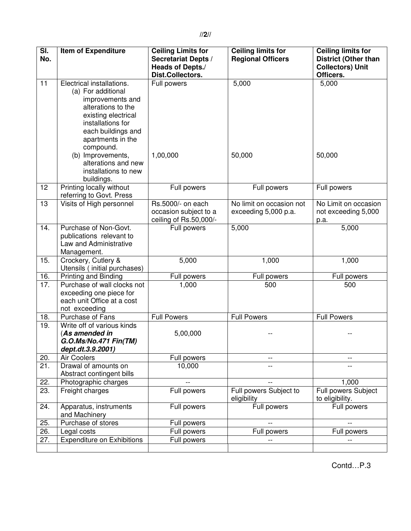| $\overline{\mathsf{SI}}$ . | <b>Item of Expenditure</b>                           | <b>Ceiling Limits for</b>  | <b>Ceiling limits for</b> | <b>Ceiling limits for</b>   |
|----------------------------|------------------------------------------------------|----------------------------|---------------------------|-----------------------------|
| No.                        |                                                      | <b>Secretariat Depts /</b> | <b>Regional Officers</b>  | <b>District (Other than</b> |
|                            |                                                      | <b>Heads of Depts./</b>    |                           | <b>Collectors) Unit</b>     |
|                            |                                                      | Dist.Collectors.           |                           | Officers.                   |
| 11                         | Electrical installations.                            | Full powers                | 5,000                     | 5,000                       |
|                            | (a) For additional                                   |                            |                           |                             |
|                            | improvements and<br>alterations to the               |                            |                           |                             |
|                            | existing electrical                                  |                            |                           |                             |
|                            | installations for                                    |                            |                           |                             |
|                            | each buildings and                                   |                            |                           |                             |
|                            | apartments in the                                    |                            |                           |                             |
|                            | compound.                                            |                            |                           |                             |
|                            | (b) Improvements,                                    | 1,00,000                   | 50,000                    | 50,000                      |
|                            | alterations and new                                  |                            |                           |                             |
|                            | installations to new                                 |                            |                           |                             |
|                            | buildings.                                           |                            |                           |                             |
| 12                         | Printing locally without<br>referring to Govt. Press | Full powers                | Full powers               | Full powers                 |
| 13                         | Visits of High personnel                             | Rs.5000/- on each          | No limit on occasion not  | No Limit on occasion        |
|                            |                                                      | occasion subject to a      | exceeding 5,000 p.a.      | not exceeding 5,000         |
|                            |                                                      | ceiling of Rs.50,000/-     |                           | p.a.                        |
| 14.                        | Purchase of Non-Govt.<br>publications relevant to    | Full powers                | 5,000                     | 5,000                       |
|                            | Law and Administrative                               |                            |                           |                             |
|                            | Management.                                          |                            |                           |                             |
| 15.                        | Crockery, Cutlery &                                  | 5,000                      | 1,000                     | 1,000                       |
|                            | Utensils (initial purchases)                         |                            |                           |                             |
| 16.                        | Printing and Binding                                 | Full powers                | Full powers               | Full powers                 |
| 17.                        | Purchase of wall clocks not                          | 1,000                      | 500                       | 500                         |
|                            | exceeding one piece for                              |                            |                           |                             |
|                            | each unit Office at a cost<br>not exceeding          |                            |                           |                             |
| 18.                        | Purchase of Fans                                     | <b>Full Powers</b>         | <b>Full Powers</b>        | <b>Full Powers</b>          |
| 19.                        | Write off of various kinds                           |                            |                           |                             |
|                            | (As amended in                                       | 5,00,000                   |                           |                             |
|                            | G.O.Ms/No.471 Fin(TM)                                |                            |                           |                             |
|                            | dept.dt.3.9.2001)                                    |                            |                           |                             |
| 20.                        | <b>Air Coolers</b>                                   | Full powers                |                           |                             |
| 21.                        | Drawal of amounts on<br>Abstract contingent bills    | 10,000                     |                           |                             |
| 22.                        | Photographic charges                                 |                            |                           | 1,000                       |
| 23.                        | Freight charges                                      | Full powers                | Full powers Subject to    | Full powers Subject         |
|                            |                                                      |                            | eligibility               | to eligibility.             |
| 24.                        | Apparatus, instruments<br>and Machinery              | Full powers                | Full powers               | Full powers                 |
| 25.                        | Purchase of stores                                   | Full powers                |                           |                             |
| 26.                        | Legal costs                                          | Full powers                | Full powers               | Full powers                 |
| 27.                        | <b>Expenditure on Exhibitions</b>                    | Full powers                |                           |                             |
|                            |                                                      |                            |                           |                             |

Contd…P.3